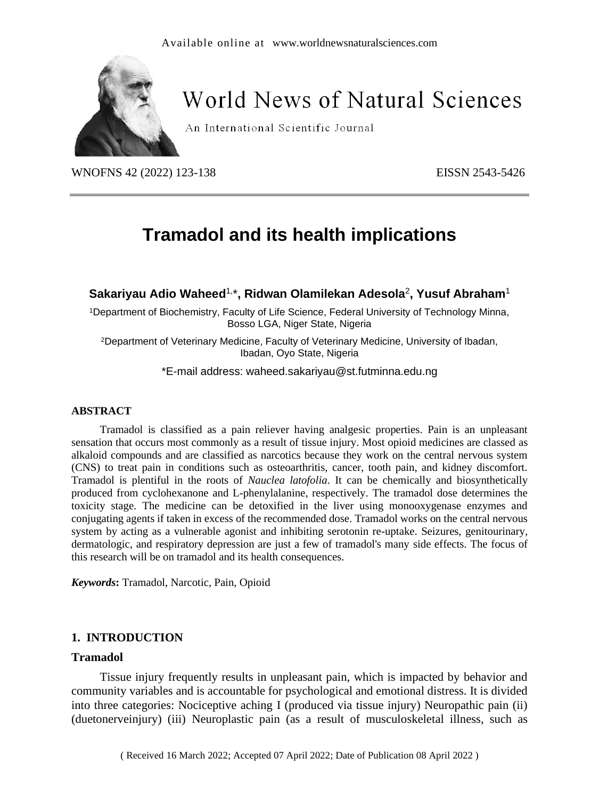

# World News of Natural Sciences

An International Scientific Journal

WNOFNS 42 (2022) 123-138 EISSN 2543-5426

# **Tramadol and its health implications**

# **Sakariyau Adio Waheed** 1, \***, Ridwan Olamilekan Adesola** 2 **, Yusuf Abraham**<sup>1</sup>

<sup>1</sup>Department of Biochemistry, Faculty of Life Science, Federal University of Technology Minna, Bosso LGA, Niger State, Nigeria

<sup>2</sup>Department of Veterinary Medicine, Faculty of Veterinary Medicine, University of Ibadan, Ibadan, Oyo State, Nigeria

\*E-mail address: waheed.sakariyau@st.futminna.edu.ng

#### **ABSTRACT**

Tramadol is classified as a pain reliever having analgesic properties. Pain is an unpleasant sensation that occurs most commonly as a result of tissue injury. Most opioid medicines are classed as alkaloid compounds and are classified as narcotics because they work on the central nervous system (CNS) to treat pain in conditions such as osteoarthritis, cancer, tooth pain, and kidney discomfort. Tramadol is plentiful in the roots of *Nauclea latofolia*. It can be chemically and biosynthetically produced from cyclohexanone and L-phenylalanine, respectively. The tramadol dose determines the toxicity stage. The medicine can be detoxified in the liver using monooxygenase enzymes and conjugating agents if taken in excess of the recommended dose. Tramadol works on the central nervous system by acting as a vulnerable agonist and inhibiting serotonin re-uptake. Seizures, genitourinary, dermatologic, and respiratory depression are just a few of tramadol's many side effects. The focus of this research will be on tramadol and its health consequences.

*Keywords***:** Tramadol, Narcotic, Pain, Opioid

# **1. INTRODUCTION**

#### **Tramadol**

Tissue injury frequently results in unpleasant pain, which is impacted by behavior and community variables and is accountable for psychological and emotional distress. It is divided into three categories: Nociceptive aching I (produced via tissue injury) Neuropathic pain (ii) (duetonerveinjury) (iii) Neuroplastic pain (as a result of musculoskeletal illness, such as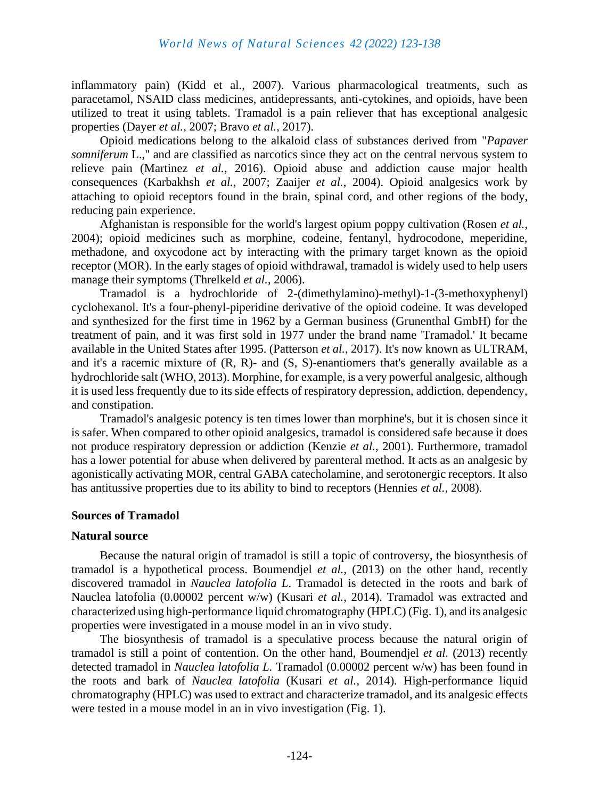inflammatory pain) (Kidd et al., 2007). Various pharmacological treatments, such as paracetamol, NSAID class medicines, antidepressants, anti-cytokines, and opioids, have been utilized to treat it using tablets. Tramadol is a pain reliever that has exceptional analgesic properties (Dayer *et al.*, 2007; Bravo *et al.*, 2017).

Opioid medications belong to the alkaloid class of substances derived from "*Papaver somniferum* L.," and are classified as narcotics since they act on the central nervous system to relieve pain (Martinez *et al.*, 2016). Opioid abuse and addiction cause major health consequences (Karbakhsh *et al.*, 2007; Zaaijer *et al.*, 2004). Opioid analgesics work by attaching to opioid receptors found in the brain, spinal cord, and other regions of the body, reducing pain experience.

Afghanistan is responsible for the world's largest opium poppy cultivation (Rosen *et al.*, 2004); opioid medicines such as morphine, codeine, fentanyl, hydrocodone, meperidine, methadone, and oxycodone act by interacting with the primary target known as the opioid receptor (MOR). In the early stages of opioid withdrawal, tramadol is widely used to help users manage their symptoms (Threlkeld *et al.*, 2006).

Tramadol is a hydrochloride of 2-(dimethylamino)-methyl)-1-(3-methoxyphenyl) cyclohexanol. It's a four-phenyl-piperidine derivative of the opioid codeine. It was developed and synthesized for the first time in 1962 by a German business (Grunenthal GmbH) for the treatment of pain, and it was first sold in 1977 under the brand name 'Tramadol.' It became available in the United States after 1995. (Patterson *et al.*, 2017). It's now known as ULTRAM, and it's a racemic mixture of  $(R, R)$ - and  $(S, S)$ -enantiomers that's generally available as a hydrochloride salt (WHO, 2013). Morphine, for example, is a very powerful analgesic, although it is used less frequently due to its side effects of respiratory depression, addiction, dependency, and constipation.

Tramadol's analgesic potency is ten times lower than morphine's, but it is chosen since it is safer. When compared to other opioid analgesics, tramadol is considered safe because it does not produce respiratory depression or addiction (Kenzie *et al.*, 2001). Furthermore, tramadol has a lower potential for abuse when delivered by parenteral method. It acts as an analgesic by agonistically activating MOR, central GABA catecholamine, and serotonergic receptors. It also has antitussive properties due to its ability to bind to receptors (Hennies *et al.*, 2008).

#### **Sources of Tramadol**

#### **Natural source**

Because the natural origin of tramadol is still a topic of controversy, the biosynthesis of tramadol is a hypothetical process. Boumendjel *et al.*, (2013) on the other hand, recently discovered tramadol in *Nauclea latofolia L*. Tramadol is detected in the roots and bark of Nauclea latofolia (0.00002 percent w/w) (Kusari *et al.*, 2014). Tramadol was extracted and characterized using high-performance liquid chromatography (HPLC) (Fig. 1), and its analgesic properties were investigated in a mouse model in an in vivo study.

The biosynthesis of tramadol is a speculative process because the natural origin of tramadol is still a point of contention. On the other hand, Boumendjel *et al.* (2013) recently detected tramadol in *Nauclea latofolia L.* Tramadol (0.00002 percent w/w) has been found in the roots and bark of *Nauclea latofolia* (Kusari *et al.*, 2014). High-performance liquid chromatography (HPLC) was used to extract and characterize tramadol, and its analgesic effects were tested in a mouse model in an in vivo investigation (Fig. 1).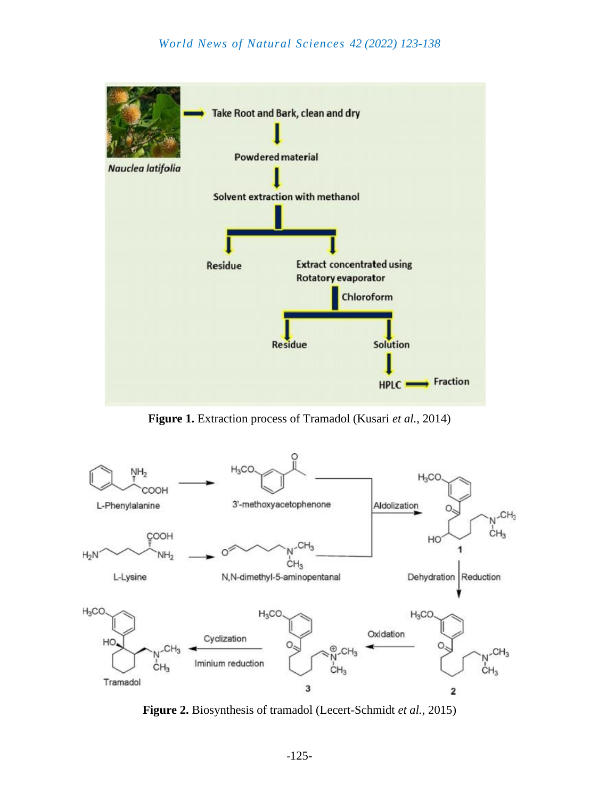

**Figure 1.** Extraction process of Tramadol (Kusari *et al.*, 2014)



**Figure 2.** Biosynthesis of tramadol (Lecert-Schmidt *et al.*, 2015)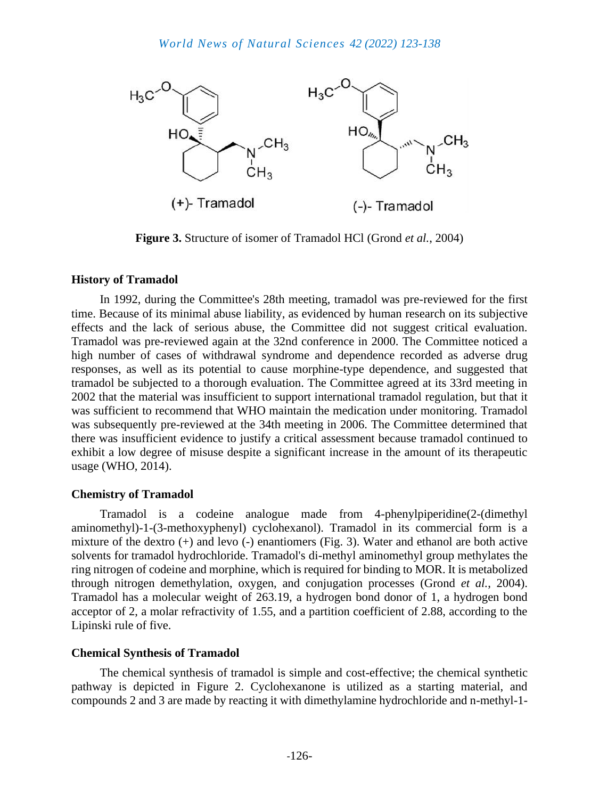

**Figure 3.** Structure of isomer of Tramadol HCl (Grond *et al.*, 2004)

# **History of Tramadol**

In 1992, during the Committee's 28th meeting, tramadol was pre-reviewed for the first time. Because of its minimal abuse liability, as evidenced by human research on its subjective effects and the lack of serious abuse, the Committee did not suggest critical evaluation. Tramadol was pre-reviewed again at the 32nd conference in 2000. The Committee noticed a high number of cases of withdrawal syndrome and dependence recorded as adverse drug responses, as well as its potential to cause morphine-type dependence, and suggested that tramadol be subjected to a thorough evaluation. The Committee agreed at its 33rd meeting in 2002 that the material was insufficient to support international tramadol regulation, but that it was sufficient to recommend that WHO maintain the medication under monitoring. Tramadol was subsequently pre-reviewed at the 34th meeting in 2006. The Committee determined that there was insufficient evidence to justify a critical assessment because tramadol continued to exhibit a low degree of misuse despite a significant increase in the amount of its therapeutic usage (WHO, 2014).

# **Chemistry of Tramadol**

Tramadol is a codeine analogue made from 4-phenylpiperidine(2-(dimethyl aminomethyl)-1-(3-methoxyphenyl) cyclohexanol). Tramadol in its commercial form is a mixture of the dextro (+) and levo (-) enantiomers (Fig. 3). Water and ethanol are both active solvents for tramadol hydrochloride. Tramadol's di-methyl aminomethyl group methylates the ring nitrogen of codeine and morphine, which is required for binding to MOR. It is metabolized through nitrogen demethylation, oxygen, and conjugation processes (Grond *et al.*, 2004). Tramadol has a molecular weight of 263.19, a hydrogen bond donor of 1, a hydrogen bond acceptor of 2, a molar refractivity of 1.55, and a partition coefficient of 2.88, according to the Lipinski rule of five.

# **Chemical Synthesis of Tramadol**

The chemical synthesis of tramadol is simple and cost-effective; the chemical synthetic pathway is depicted in Figure 2. Cyclohexanone is utilized as a starting material, and compounds 2 and 3 are made by reacting it with dimethylamine hydrochloride and n-methyl-1-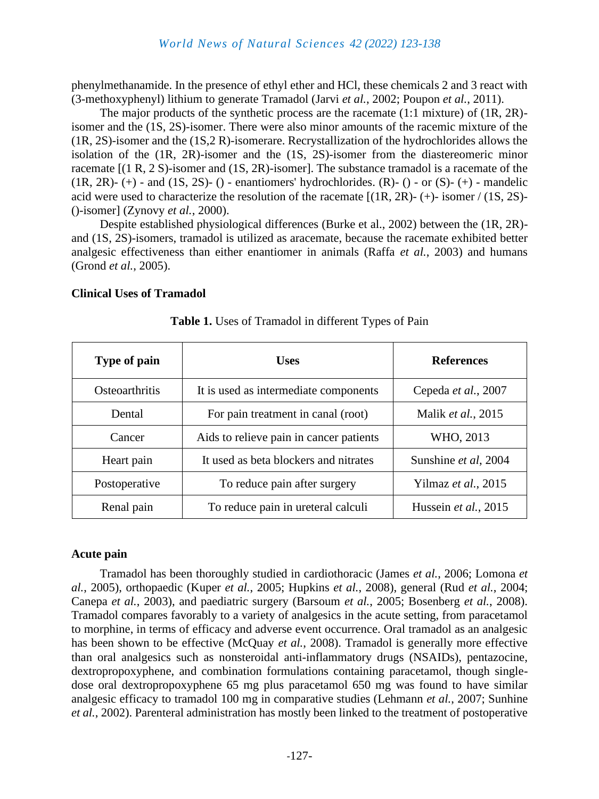phenylmethanamide. In the presence of ethyl ether and HCl, these chemicals 2 and 3 react with (3-methoxyphenyl) lithium to generate Tramadol (Jarvi *et al.*, 2002; Poupon *et al.*, 2011).

The major products of the synthetic process are the racemate (1:1 mixture) of (1R, 2R) isomer and the (1S, 2S)-isomer. There were also minor amounts of the racemic mixture of the (1R, 2S)-isomer and the (1S,2 R)-isomerare. Recrystallization of the hydrochlorides allows the isolation of the (1R, 2R)-isomer and the (1S, 2S)-isomer from the diastereomeric minor racemate [(1 R, 2 S)-isomer and (1S, 2R)-isomer]. The substance tramadol is a racemate of the  $(1R, 2R)$ -  $(+)$  - and  $(1S, 2S)$ -  $()$  - enantiomers' hydrochlorides.  $(R)$ -  $()$  - or  $(S)$ -  $(+)$  - mandelic acid were used to characterize the resolution of the racemate [(1R, 2R)- (+)- isomer / (1S, 2S)- ()-isomer] (Zynovy *et al.*, 2000).

Despite established physiological differences (Burke et al., 2002) between the (1R, 2R) and (1S, 2S)-isomers, tramadol is utilized as aracemate, because the racemate exhibited better analgesic effectiveness than either enantiomer in animals (Raffa *et al.*, 2003) and humans (Grond *et al.*, 2005).

#### **Clinical Uses of Tramadol**

| Type of pain   | <b>Uses</b>                             | <b>References</b>    |
|----------------|-----------------------------------------|----------------------|
| Osteoarthritis | It is used as intermediate components   | Cepeda et al., 2007  |
| Dental         | For pain treatment in canal (root)      | Malik et al., 2015   |
| Cancer         | Aids to relieve pain in cancer patients | WHO, 2013            |
| Heart pain     | It used as beta blockers and nitrates   | Sunshine et al, 2004 |
| Postoperative  | To reduce pain after surgery            | Yilmaz et al., 2015  |
| Renal pain     | To reduce pain in ureteral calculi      | Hussein et al., 2015 |

**Table 1.** Uses of Tramadol in different Types of Pain

#### **Acute pain**

Tramadol has been thoroughly studied in cardiothoracic (James *et al.*, 2006; Lomona *et al.*, 2005), orthopaedic (Kuper *et al.*, 2005; Hupkins *et al.*, 2008), general (Rud *et al.*, 2004; Canepa *et al.*, 2003), and paediatric surgery (Barsoum *et al.*, 2005; Bosenberg *et al.*, 2008). Tramadol compares favorably to a variety of analgesics in the acute setting, from paracetamol to morphine, in terms of efficacy and adverse event occurrence. Oral tramadol as an analgesic has been shown to be effective (McQuay *et al.*, 2008). Tramadol is generally more effective than oral analgesics such as nonsteroidal anti-inflammatory drugs (NSAIDs), pentazocine, dextropropoxyphene, and combination formulations containing paracetamol, though singledose oral dextropropoxyphene 65 mg plus paracetamol 650 mg was found to have similar analgesic efficacy to tramadol 100 mg in comparative studies (Lehmann *et al.*, 2007; Sunhine *et al.*, 2002). Parenteral administration has mostly been linked to the treatment of postoperative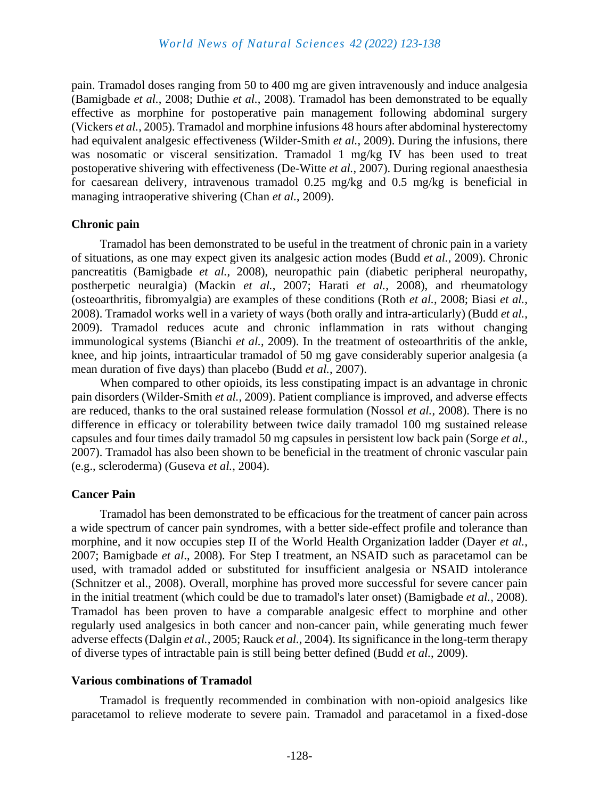pain. Tramadol doses ranging from 50 to 400 mg are given intravenously and induce analgesia (Bamigbade *et al.*, 2008; Duthie *et al.*, 2008). Tramadol has been demonstrated to be equally effective as morphine for postoperative pain management following abdominal surgery (Vickers *et al.*, 2005). Tramadol and morphine infusions 48 hours after abdominal hysterectomy had equivalent analgesic effectiveness (Wilder-Smith *et al.*, 2009). During the infusions, there was nosomatic or visceral sensitization. Tramadol 1 mg/kg IV has been used to treat postoperative shivering with effectiveness (De-Witte *et al.*, 2007). During regional anaesthesia for caesarean delivery, intravenous tramadol 0.25 mg/kg and 0.5 mg/kg is beneficial in managing intraoperative shivering (Chan *et al.*, 2009).

#### **Chronic pain**

Tramadol has been demonstrated to be useful in the treatment of chronic pain in a variety of situations, as one may expect given its analgesic action modes (Budd *et al.*, 2009). Chronic pancreatitis (Bamigbade *et al.*, 2008), neuropathic pain (diabetic peripheral neuropathy, postherpetic neuralgia) (Mackin *et al.*, 2007; Harati *et al.*, 2008), and rheumatology (osteoarthritis, fibromyalgia) are examples of these conditions (Roth *et al.*, 2008; Biasi *et al.*, 2008). Tramadol works well in a variety of ways (both orally and intra-articularly) (Budd *et al.*, 2009). Tramadol reduces acute and chronic inflammation in rats without changing immunological systems (Bianchi *et al.*, 2009). In the treatment of osteoarthritis of the ankle, knee, and hip joints, intraarticular tramadol of 50 mg gave considerably superior analgesia (a mean duration of five days) than placebo (Budd *et al.*, 2007).

When compared to other opioids, its less constipating impact is an advantage in chronic pain disorders (Wilder-Smith *et al.*, 2009). Patient compliance is improved, and adverse effects are reduced, thanks to the oral sustained release formulation (Nossol *et al.*, 2008). There is no difference in efficacy or tolerability between twice daily tramadol 100 mg sustained release capsules and four times daily tramadol 50 mg capsules in persistent low back pain (Sorge *et al.*, 2007). Tramadol has also been shown to be beneficial in the treatment of chronic vascular pain (e.g., scleroderma) (Guseva *et al.*, 2004).

# **Cancer Pain**

Tramadol has been demonstrated to be efficacious for the treatment of cancer pain across a wide spectrum of cancer pain syndromes, with a better side-effect profile and tolerance than morphine, and it now occupies step II of the World Health Organization ladder (Dayer *et al.*, 2007; Bamigbade *et al*., 2008). For Step I treatment, an NSAID such as paracetamol can be used, with tramadol added or substituted for insufficient analgesia or NSAID intolerance (Schnitzer et al., 2008). Overall, morphine has proved more successful for severe cancer pain in the initial treatment (which could be due to tramadol's later onset) (Bamigbade *et al.*, 2008). Tramadol has been proven to have a comparable analgesic effect to morphine and other regularly used analgesics in both cancer and non-cancer pain, while generating much fewer adverse effects (Dalgin *et al.*, 2005; Rauck *et al.*, 2004). Its significance in the long-term therapy of diverse types of intractable pain is still being better defined (Budd *et al.*, 2009).

#### **Various combinations of Tramadol**

Tramadol is frequently recommended in combination with non-opioid analgesics like paracetamol to relieve moderate to severe pain. Tramadol and paracetamol in a fixed-dose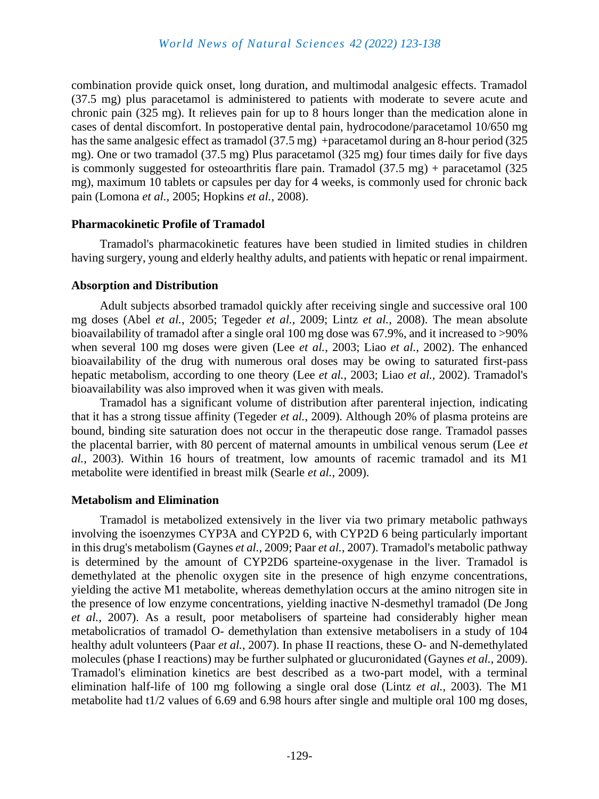combination provide quick onset, long duration, and multimodal analgesic effects. Tramadol (37.5 mg) plus paracetamol is administered to patients with moderate to severe acute and chronic pain (325 mg). It relieves pain for up to 8 hours longer than the medication alone in cases of dental discomfort. In postoperative dental pain, hydrocodone/paracetamol 10/650 mg has the same analgesic effect as tramadol (37.5 mg) +paracetamol during an 8-hour period (325 mg). One or two tramadol (37.5 mg) Plus paracetamol (325 mg) four times daily for five days is commonly suggested for osteoarthritis flare pain. Tramadol (37.5 mg) + paracetamol (325 mg), maximum 10 tablets or capsules per day for 4 weeks, is commonly used for chronic back pain (Lomona *et al.*, 2005; Hopkins *et al.*, 2008).

#### **Pharmacokinetic Profile of Tramadol**

Tramadol's pharmacokinetic features have been studied in limited studies in children having surgery, young and elderly healthy adults, and patients with hepatic or renal impairment.

# **Absorption and Distribution**

Adult subjects absorbed tramadol quickly after receiving single and successive oral 100 mg doses (Abel *et al.*, 2005; Tegeder *et al.*, 2009; Lintz *et al.*, 2008). The mean absolute bioavailability of tramadol after a single oral 100 mg dose was 67.9%, and it increased to >90% when several 100 mg doses were given (Lee *et al.*, 2003; Liao *et al.,* 2002). The enhanced bioavailability of the drug with numerous oral doses may be owing to saturated first-pass hepatic metabolism, according to one theory (Lee *et al.*, 2003; Liao *et al.,* 2002). Tramadol's bioavailability was also improved when it was given with meals.

Tramadol has a significant volume of distribution after parenteral injection, indicating that it has a strong tissue affinity (Tegeder *et al.*, 2009). Although 20% of plasma proteins are bound, binding site saturation does not occur in the therapeutic dose range. Tramadol passes the placental barrier, with 80 percent of maternal amounts in umbilical venous serum (Lee *et al.*, 2003). Within 16 hours of treatment, low amounts of racemic tramadol and its M1 metabolite were identified in breast milk (Searle *et al.*, 2009).

# **Metabolism and Elimination**

Tramadol is metabolized extensively in the liver via two primary metabolic pathways involving the isoenzymes CYP3A and CYP2D 6, with CYP2D 6 being particularly important in this drug's metabolism (Gaynes *et al.*, 2009; Paar *et al.*, 2007). Tramadol's metabolic pathway is determined by the amount of CYP2D6 sparteine-oxygenase in the liver. Tramadol is demethylated at the phenolic oxygen site in the presence of high enzyme concentrations, yielding the active M1 metabolite, whereas demethylation occurs at the amino nitrogen site in the presence of low enzyme concentrations, yielding inactive N-desmethyl tramadol (De Jong *et al.*, 2007). As a result, poor metabolisers of sparteine had considerably higher mean metabolicratios of tramadol O- demethylation than extensive metabolisers in a study of 104 healthy adult volunteers (Paar *et al.*, 2007). In phase II reactions, these O- and N-demethylated molecules (phase I reactions) may be further sulphated or glucuronidated (Gaynes *et al.*, 2009). Tramadol's elimination kinetics are best described as a two-part model, with a terminal elimination half-life of 100 mg following a single oral dose (Lintz *et al.*, 2003). The M1 metabolite had t1/2 values of 6.69 and 6.98 hours after single and multiple oral 100 mg doses,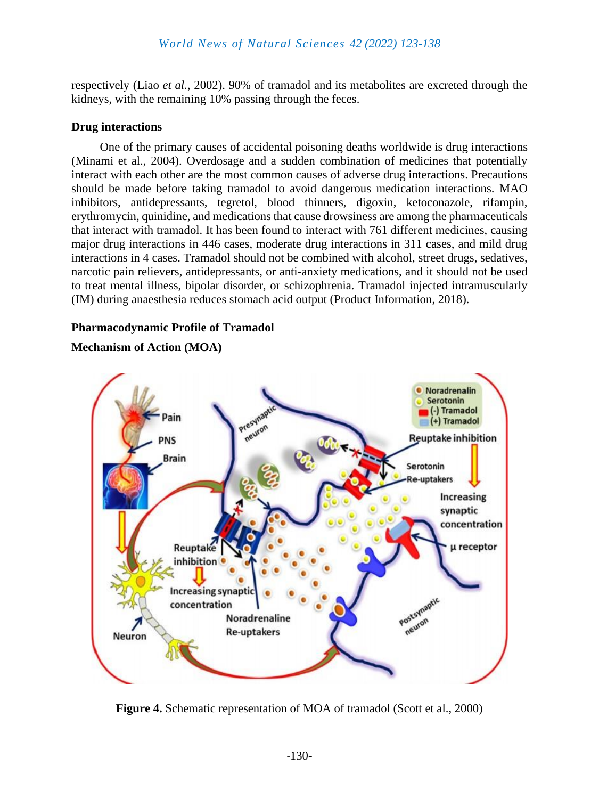respectively (Liao *et al.*, 2002). 90% of tramadol and its metabolites are excreted through the kidneys, with the remaining 10% passing through the feces.

#### **Drug interactions**

One of the primary causes of accidental poisoning deaths worldwide is drug interactions (Minami et al., 2004). Overdosage and a sudden combination of medicines that potentially interact with each other are the most common causes of adverse drug interactions. Precautions should be made before taking tramadol to avoid dangerous medication interactions. MAO inhibitors, antidepressants, tegretol, blood thinners, digoxin, ketoconazole, rifampin, erythromycin, quinidine, and medications that cause drowsiness are among the pharmaceuticals that interact with tramadol. It has been found to interact with 761 different medicines, causing major drug interactions in 446 cases, moderate drug interactions in 311 cases, and mild drug interactions in 4 cases. Tramadol should not be combined with alcohol, street drugs, sedatives, narcotic pain relievers, antidepressants, or anti-anxiety medications, and it should not be used to treat mental illness, bipolar disorder, or schizophrenia. Tramadol injected intramuscularly (IM) during anaesthesia reduces stomach acid output (Product Information, 2018).

#### **Pharmacodynamic Profile of Tramadol**

# **Mechanism of Action (MOA)**



**Figure 4.** Schematic representation of MOA of tramadol (Scott et al., 2000)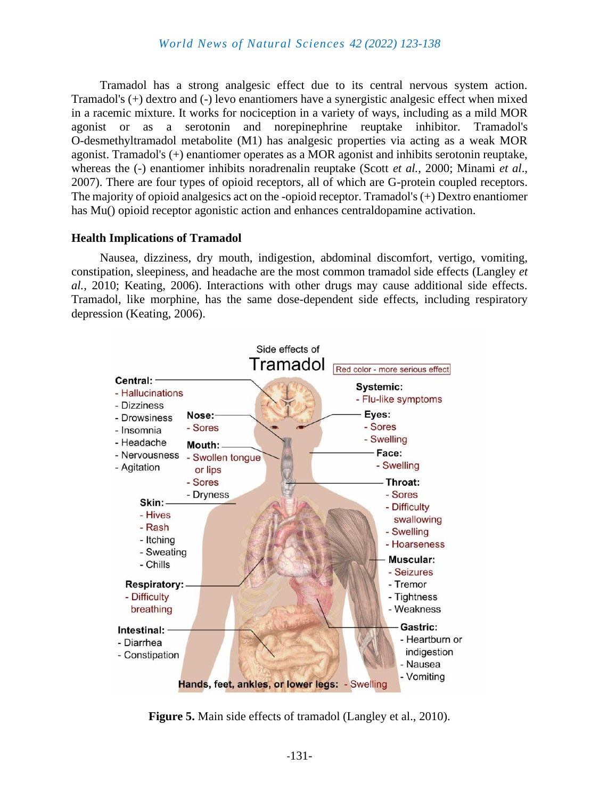Tramadol has a strong analgesic effect due to its central nervous system action. Tramadol's (+) dextro and (-) levo enantiomers have a synergistic analgesic effect when mixed in a racemic mixture. It works for nociception in a variety of ways, including as a mild MOR agonist or as a serotonin and norepinephrine reuptake inhibitor. Tramadol's O-desmethyltramadol metabolite (M1) has analgesic properties via acting as a weak MOR agonist. Tramadol's (+) enantiomer operates as a MOR agonist and inhibits serotonin reuptake, whereas the (-) enantiomer inhibits noradrenalin reuptake (Scott *et al.*, 2000; Minami *et al*., 2007). There are four types of opioid receptors, all of which are G-protein coupled receptors. The majority of opioid analgesics act on the -opioid receptor. Tramadol's (+) Dextro enantiomer has Mu() opioid receptor agonistic action and enhances centraldopamine activation.

#### **Health Implications of Tramadol**

Nausea, dizziness, dry mouth, indigestion, abdominal discomfort, vertigo, vomiting, constipation, sleepiness, and headache are the most common tramadol side effects (Langley *et al.*, 2010; Keating, 2006). Interactions with other drugs may cause additional side effects. Tramadol, like morphine, has the same dose-dependent side effects, including respiratory depression (Keating, 2006).



**Figure 5.** Main side effects of tramadol (Langley et al., 2010).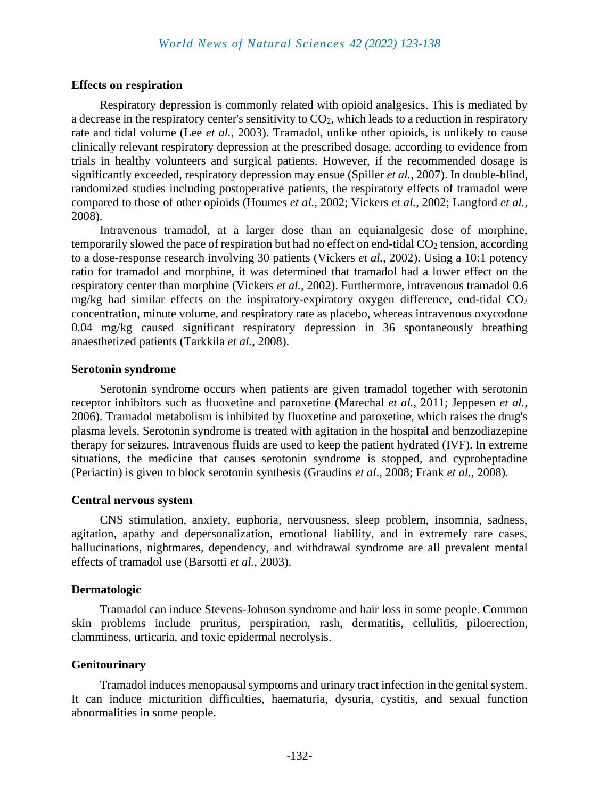#### **Effects on respiration**

Respiratory depression is commonly related with opioid analgesics. This is mediated by a decrease in the respiratory center's sensitivity to  $CO<sub>2</sub>$ , which leads to a reduction in respiratory rate and tidal volume (Lee *et al.*, 2003). Tramadol, unlike other opioids, is unlikely to cause clinically relevant respiratory depression at the prescribed dosage, according to evidence from trials in healthy volunteers and surgical patients. However, if the recommended dosage is significantly exceeded, respiratory depression may ensue (Spiller *et al.*, 2007). In double-blind, randomized studies including postoperative patients, the respiratory effects of tramadol were compared to those of other opioids (Houmes *et al.*, 2002; Vickers *et al.*, 2002; Langford *et al.*, 2008).

Intravenous tramadol, at a larger dose than an equianalgesic dose of morphine, temporarily slowed the pace of respiration but had no effect on end-tidal  $CO<sub>2</sub>$  tension, according to a dose-response research involving 30 patients (Vickers *et al.*, 2002). Using a 10:1 potency ratio for tramadol and morphine, it was determined that tramadol had a lower effect on the respiratory center than morphine (Vickers *et al.*, 2002). Furthermore, intravenous tramadol 0.6 mg/kg had similar effects on the inspiratory-expiratory oxygen difference, end-tidal  $CO<sub>2</sub>$ concentration, minute volume, and respiratory rate as placebo, whereas intravenous oxycodone 0.04 mg/kg caused significant respiratory depression in 36 spontaneously breathing anaesthetized patients (Tarkkila *et al.*, 2008).

#### **Serotonin syndrome**

Serotonin syndrome occurs when patients are given tramadol together with serotonin receptor inhibitors such as fluoxetine and paroxetine (Marechal *et al.*, 2011; Jeppesen *et al.*, 2006). Tramadol metabolism is inhibited by fluoxetine and paroxetine, which raises the drug's plasma levels. Serotonin syndrome is treated with agitation in the hospital and benzodiazepine therapy for seizures. Intravenous fluids are used to keep the patient hydrated (IVF). In extreme situations, the medicine that causes serotonin syndrome is stopped, and cyproheptadine (Periactin) is given to block serotonin synthesis (Graudins *et al*., 2008; Frank *et al.*, 2008).

#### **Central nervous system**

CNS stimulation, anxiety, euphoria, nervousness, sleep problem, insomnia, sadness, agitation, apathy and depersonalization, emotional liability, and in extremely rare cases, hallucinations, nightmares, dependency, and withdrawal syndrome are all prevalent mental effects of tramadol use (Barsotti *et al.*, 2003).

#### **Dermatologic**

Tramadol can induce Stevens-Johnson syndrome and hair loss in some people. Common skin problems include pruritus, perspiration, rash, dermatitis, cellulitis, piloerection, clamminess, urticaria, and toxic epidermal necrolysis.

#### **Genitourinary**

Tramadol induces menopausal symptoms and urinary tract infection in the genital system. It can induce micturition difficulties, haematuria, dysuria, cystitis, and sexual function abnormalities in some people.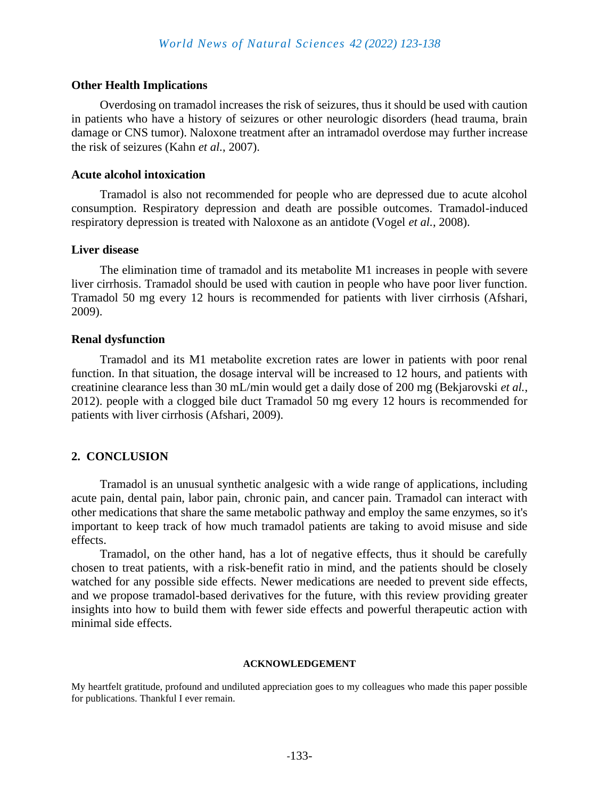#### **Other Health Implications**

Overdosing on tramadol increases the risk of seizures, thus it should be used with caution in patients who have a history of seizures or other neurologic disorders (head trauma, brain damage or CNS tumor). Naloxone treatment after an intramadol overdose may further increase the risk of seizures (Kahn *et al.*, 2007).

#### **Acute alcohol intoxication**

Tramadol is also not recommended for people who are depressed due to acute alcohol consumption. Respiratory depression and death are possible outcomes. Tramadol-induced respiratory depression is treated with Naloxone as an antidote (Vogel *et al.*, 2008).

#### **Liver disease**

The elimination time of tramadol and its metabolite M1 increases in people with severe liver cirrhosis. Tramadol should be used with caution in people who have poor liver function. Tramadol 50 mg every 12 hours is recommended for patients with liver cirrhosis (Afshari, 2009).

#### **Renal dysfunction**

Tramadol and its M1 metabolite excretion rates are lower in patients with poor renal function. In that situation, the dosage interval will be increased to 12 hours, and patients with creatinine clearance less than 30 mL/min would get a daily dose of 200 mg (Bekjarovski *et al.*, 2012). people with a clogged bile duct Tramadol 50 mg every 12 hours is recommended for patients with liver cirrhosis (Afshari, 2009).

# **2. CONCLUSION**

Tramadol is an unusual synthetic analgesic with a wide range of applications, including acute pain, dental pain, labor pain, chronic pain, and cancer pain. Tramadol can interact with other medications that share the same metabolic pathway and employ the same enzymes, so it's important to keep track of how much tramadol patients are taking to avoid misuse and side effects.

Tramadol, on the other hand, has a lot of negative effects, thus it should be carefully chosen to treat patients, with a risk-benefit ratio in mind, and the patients should be closely watched for any possible side effects. Newer medications are needed to prevent side effects, and we propose tramadol-based derivatives for the future, with this review providing greater insights into how to build them with fewer side effects and powerful therapeutic action with minimal side effects.

#### **ACKNOWLEDGEMENT**

My heartfelt gratitude, profound and undiluted appreciation goes to my colleagues who made this paper possible for publications. Thankful I ever remain.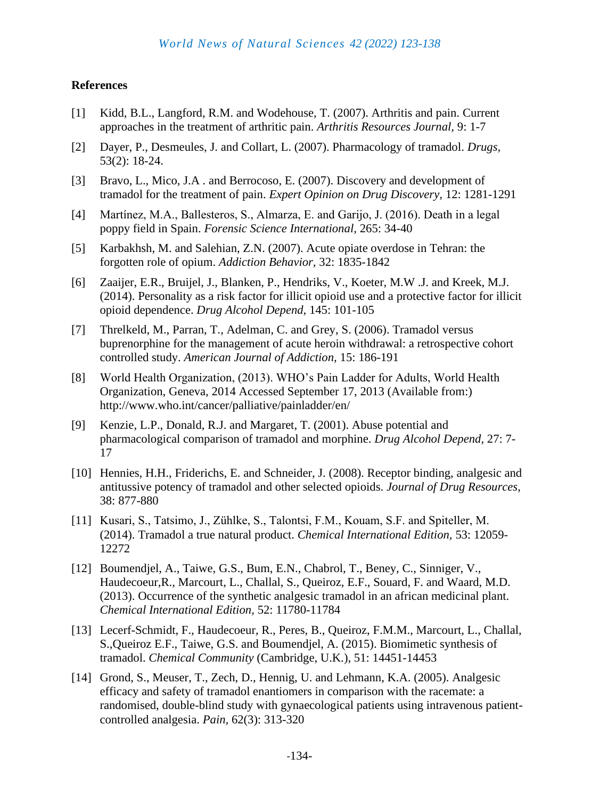# **References**

- [1] Kidd, B.L., Langford, R.M. and Wodehouse, T. (2007). Arthritis and pain. Current approaches in the treatment of arthritic pain. *Arthritis Resources Journal,* 9: 1-7
- [2] Dayer, P., Desmeules, J. and Collart, L. (2007). Pharmacology of tramadol. *Drugs,* 53(2): 18-24.
- [3] Bravo, L., Mico, J.A . and Berrocoso, E. (2007). Discovery and development of tramadol for the treatment of pain. *Expert Opinion on Drug Discovery,* 12: 1281-1291
- [4] Martínez, M.A., Ballesteros, S., Almarza, E. and Garijo, J. (2016). Death in a legal poppy field in Spain. *Forensic Science International,* 265: 34-40
- [5] Karbakhsh, M. and Salehian, Z.N. (2007). Acute opiate overdose in Tehran: the forgotten role of opium. *Addiction Behavior,* 32: 1835-1842
- [6] Zaaijer, E.R., Bruijel, J., Blanken, P., Hendriks, V., Koeter, M.W .J. and Kreek, M.J. (2014). Personality as a risk factor for illicit opioid use and a protective factor for illicit opioid dependence. *Drug Alcohol Depend,* 145: 101-105
- [7] Threlkeld, M., Parran, T., Adelman, C. and Grey, S. (2006). Tramadol versus buprenorphine for the management of acute heroin withdrawal: a retrospective cohort controlled study. *American Journal of Addiction,* 15: 186-191
- [8] World Health Organization, (2013). WHO's Pain Ladder for Adults, World Health Organization, Geneva, 2014 Accessed September 17, 2013 (Available from:) http://www.who.int/cancer/palliative/painladder/en/
- [9] Kenzie, L.P., Donald, R.J. and Margaret, T. (2001). Abuse potential and pharmacological comparison of tramadol and morphine. *Drug Alcohol Depend,* 27: 7- 17
- [10] Hennies, H.H., Friderichs, E. and Schneider, J. (2008). Receptor binding, analgesic and antitussive potency of tramadol and other selected opioids. *Journal of Drug Resources*, 38: 877-880
- [11] Kusari, S., Tatsimo, J., Zühlke, S., Talontsi, F.M., Kouam, S.F. and Spiteller, M. (2014). Tramadol a true natural product. *Chemical International Edition,* 53: 12059- 12272
- [12] Boumendjel, A., Taiwe, G.S., Bum, E.N., Chabrol, T., Beney, C., Sinniger, V., Haudecoeur,R., Marcourt, L., Challal, S., Queiroz, E.F., Souard, F. and Waard, M.D. (2013). Occurrence of the synthetic analgesic tramadol in an african medicinal plant. *Chemical International Edition,* 52: 11780-11784
- [13] Lecerf-Schmidt, F., Haudecoeur, R., Peres, B., Queiroz, F.M.M., Marcourt, L., Challal, S.,Queiroz E.F., Taiwe, G.S. and Boumendjel, A. (2015). Biomimetic synthesis of tramadol. *Chemical Community* (Cambridge, U.K.), 51: 14451-14453
- [14] Grond, S., Meuser, T., Zech, D., Hennig, U. and Lehmann, K.A. (2005). Analgesic efficacy and safety of tramadol enantiomers in comparison with the racemate: a randomised, double-blind study with gynaecological patients using intravenous patientcontrolled analgesia. *Pain,* 62(3): 313-320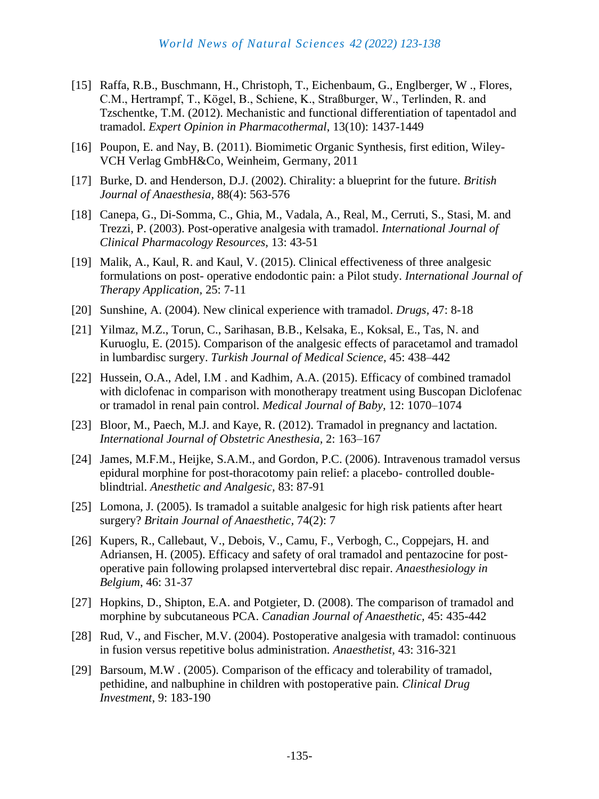- [15] Raffa, R.B., Buschmann, H., Christoph, T., Eichenbaum, G., Englberger, W ., Flores, C.M., Hertrampf, T., Kögel, B., Schiene, K., Straßburger, W., Terlinden, R. and Tzschentke, T.M. (2012). Mechanistic and functional differentiation of tapentadol and tramadol. *Expert Opinion in Pharmacothermal*, 13(10): 1437-1449
- [16] Poupon, E. and Nay, B. (2011). Biomimetic Organic Synthesis, first edition, Wiley-VCH Verlag GmbH&Co, Weinheim, Germany, 2011
- [17] Burke, D. and Henderson, D.J. (2002). Chirality: a blueprint for the future. *British Journal of Anaesthesia,* 88(4): 563-576
- [18] Canepa, G., Di-Somma, C., Ghia, M., Vadala, A., Real, M., Cerruti, S., Stasi, M. and Trezzi, P. (2003). Post-operative analgesia with tramadol. *International Journal of Clinical Pharmacology Resources,* 13: 43-51
- [19] Malik, A., Kaul, R. and Kaul, V. (2015). Clinical effectiveness of three analgesic formulations on post- operative endodontic pain: a Pilot study. *International Journal of Therapy Application,* 25: 7-11
- [20] Sunshine, A. (2004). New clinical experience with tramadol. *Drugs,* 47: 8-18
- [21] Yilmaz, M.Z., Torun, C., Sarihasan, B.B., Kelsaka, E., Koksal, E., Tas, N. and Kuruoglu, E. (2015). Comparison of the analgesic effects of paracetamol and tramadol in lumbardisc surgery. *Turkish Journal of Medical Science,* 45: 438–442
- [22] Hussein, O.A., Adel, I.M. and Kadhim, A.A. (2015). Efficacy of combined tramadol with diclofenac in comparison with monotherapy treatment using Buscopan Diclofenac or tramadol in renal pain control. *Medical Journal of Baby,* 12: 1070–1074
- [23] Bloor, M., Paech, M.J. and Kaye, R. (2012). Tramadol in pregnancy and lactation. *International Journal of Obstetric Anesthesia,* 2: 163–167
- [24] James, M.F.M., Heijke, S.A.M., and Gordon, P.C. (2006). Intravenous tramadol versus epidural morphine for post-thoracotomy pain relief: a placebo- controlled doubleblindtrial. *Anesthetic and Analgesic,* 83: 87-91
- [25] Lomona, J. (2005). Is tramadol a suitable analgesic for high risk patients after heart surgery? *Britain Journal of Anaesthetic,* 74(2): 7
- [26] Kupers, R., Callebaut, V., Debois, V., Camu, F., Verbogh, C., Coppejars, H. and Adriansen, H. (2005). Efficacy and safety of oral tramadol and pentazocine for postoperative pain following prolapsed intervertebral disc repair. *Anaesthesiology in Belgium*, 46: 31-37
- [27] Hopkins, D., Shipton, E.A. and Potgieter, D. (2008). The comparison of tramadol and morphine by subcutaneous PCA. *Canadian Journal of Anaesthetic,* 45: 435-442
- [28] Rud, V., and Fischer, M.V. (2004). Postoperative analgesia with tramadol: continuous in fusion versus repetitive bolus administration. *Anaesthetist,* 43: 316-321
- [29] Barsoum, M.W . (2005). Comparison of the efficacy and tolerability of tramadol, pethidine, and nalbuphine in children with postoperative pain*. Clinical Drug Investment*, 9: 183-190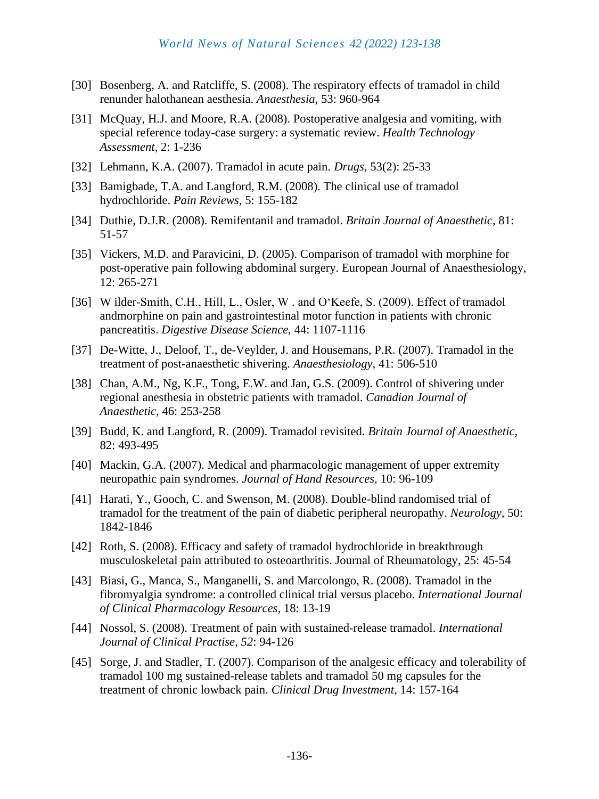#### *World News of Natural Sciences 42 (2022) 123-138*

- [30] Bosenberg, A. and Ratcliffe, S. (2008). The respiratory effects of tramadol in child renunder halothanean aesthesia. *Anaesthesia,* 53: 960-964
- [31] McQuay, H.J. and Moore, R.A. (2008). Postoperative analgesia and vomiting, with special reference today-case surgery: a systematic review. *Health Technology Assessment,* 2: 1-236
- [32] Lehmann, K.A. (2007). Tramadol in acute pain. *Drugs,* 53(2): 25-33
- [33] Bamigbade, T.A. and Langford, R.M. (2008). The clinical use of tramadol hydrochloride. *Pain Reviews,* 5: 155-182
- [34] Duthie, D.J.R. (2008). Remifentanil and tramadol. *Britain Journal of Anaesthetic,* 81: 51-57
- [35] Vickers, M.D. and Paravicini, D. (2005). Comparison of tramadol with morphine for post-operative pain following abdominal surgery. European Journal of Anaesthesiology, 12: 265-271
- [36] W ilder-Smith, C.H., Hill, L., Osler, W. and O'Keefe, S. (2009). Effect of tramadol andmorphine on pain and gastrointestinal motor function in patients with chronic pancreatitis. *Digestive Disease Science,* 44: 1107-1116
- [37] De-Witte, J., Deloof, T., de-Veylder, J. and Housemans, P.R. (2007). Tramadol in the treatment of post-anaesthetic shivering. *Anaesthesiology,* 41: 506-510
- [38] Chan, A.M., Ng, K.F., Tong, E.W. and Jan, G.S. (2009). Control of shivering under regional anesthesia in obstetric patients with tramadol. *Canadian Journal of Anaesthetic*, 46: 253-258
- [39] Budd, K. and Langford, R. (2009). Tramadol revisited. *Britain Journal of Anaesthetic,* 82: 493-495
- [40] Mackin, G.A. (2007). Medical and pharmacologic management of upper extremity neuropathic pain syndromes. *Journal of Hand Resources,* 10: 96-109
- [41] Harati, Y., Gooch, C. and Swenson, M. (2008). Double-blind randomised trial of tramadol for the treatment of the pain of diabetic peripheral neuropathy. *Neurology*, 50: 1842-1846
- [42] Roth, S. (2008). Efficacy and safety of tramadol hydrochloride in breakthrough musculoskeletal pain attributed to osteoarthritis. Journal of Rheumatology, 25: 45-54
- [43] Biasi, G., Manca, S., Manganelli, S. and Marcolongo, R. (2008). Tramadol in the fibromyalgia syndrome: a controlled clinical trial versus placebo. *International Journal of Clinical Pharmacology Resources,* 18: 13-19
- [44] Nossol, S. (2008). Treatment of pain with sustained-release tramadol. *International Journal of Clinical Practise, 52*: 94-126
- [45] Sorge, J. and Stadler, T. (2007). Comparison of the analgesic efficacy and tolerability of tramadol 100 mg sustained-release tablets and tramadol 50 mg capsules for the treatment of chronic lowback pain. *Clinical Drug Investment*, 14: 157-164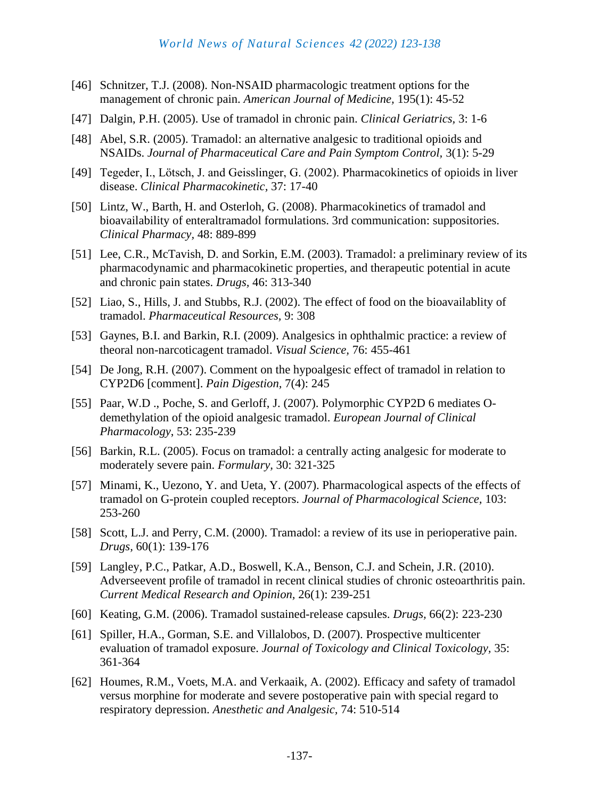- [46] Schnitzer, T.J. (2008). Non-NSAID pharmacologic treatment options for the management of chronic pain. *American Journal of Medicine,* 195(1): 45-52
- [47] Dalgin, P.H. (2005). Use of tramadol in chronic pain. *Clinical Geriatrics,* 3: 1-6
- [48] Abel, S.R. (2005). Tramadol: an alternative analgesic to traditional opioids and NSAIDs. *Journal of Pharmaceutical Care and Pain Symptom Control,* 3(1): 5-29
- [49] Tegeder, I., Lötsch, J. and Geisslinger, G. (2002). Pharmacokinetics of opioids in liver disease. *Clinical Pharmacokinetic,* 37: 17-40
- [50] Lintz, W., Barth, H. and Osterloh, G. (2008). Pharmacokinetics of tramadol and bioavailability of enteraltramadol formulations. 3rd communication: suppositories. *Clinical Pharmacy,* 48: 889-899
- [51] Lee, C.R., McTavish, D. and Sorkin, E.M. (2003). Tramadol: a preliminary review of its pharmacodynamic and pharmacokinetic properties, and therapeutic potential in acute and chronic pain states. *Drugs,* 46: 313-340
- [52] Liao, S., Hills, J. and Stubbs, R.J. (2002). The effect of food on the bioavailablity of tramadol. *Pharmaceutical Resources,* 9: 308
- [53] Gaynes, B.I. and Barkin, R.I. (2009). Analgesics in ophthalmic practice: a review of theoral non-narcoticagent tramadol. *Visual Science,* 76: 455-461
- [54] De Jong, R.H. (2007). Comment on the hypoalgesic effect of tramadol in relation to CYP2D6 [comment]. *Pain Digestion,* 7(4): 245
- [55] Paar, W.D., Poche, S. and Gerloff, J. (2007). Polymorphic CYP2D 6 mediates Odemethylation of the opioid analgesic tramadol. *European Journal of Clinical Pharmacology*, 53: 235-239
- [56] Barkin, R.L. (2005). Focus on tramadol: a centrally acting analgesic for moderate to moderately severe pain. *Formulary,* 30: 321-325
- [57] Minami, K., Uezono, Y. and Ueta, Y. (2007). Pharmacological aspects of the effects of tramadol on G-protein coupled receptors. *Journal of Pharmacological Science,* 103: 253-260
- [58] Scott, L.J. and Perry, C.M. (2000). Tramadol: a review of its use in perioperative pain. *Drugs,* 60(1): 139-176
- [59] Langley, P.C., Patkar, A.D., Boswell, K.A., Benson, C.J. and Schein, J.R. (2010). Adverseevent profile of tramadol in recent clinical studies of chronic osteoarthritis pain. *Current Medical Research and Opinion,* 26(1): 239-251
- [60] Keating, G.M. (2006). Tramadol sustained-release capsules. *Drugs,* 66(2): 223-230
- [61] Spiller, H.A., Gorman, S.E. and Villalobos, D. (2007). Prospective multicenter evaluation of tramadol exposure. *Journal of Toxicology and Clinical Toxicology,* 35: 361-364
- [62] Houmes, R.M., Voets, M.A. and Verkaaik, A. (2002). Efficacy and safety of tramadol versus morphine for moderate and severe postoperative pain with special regard to respiratory depression. *Anesthetic and Analgesic,* 74: 510-514